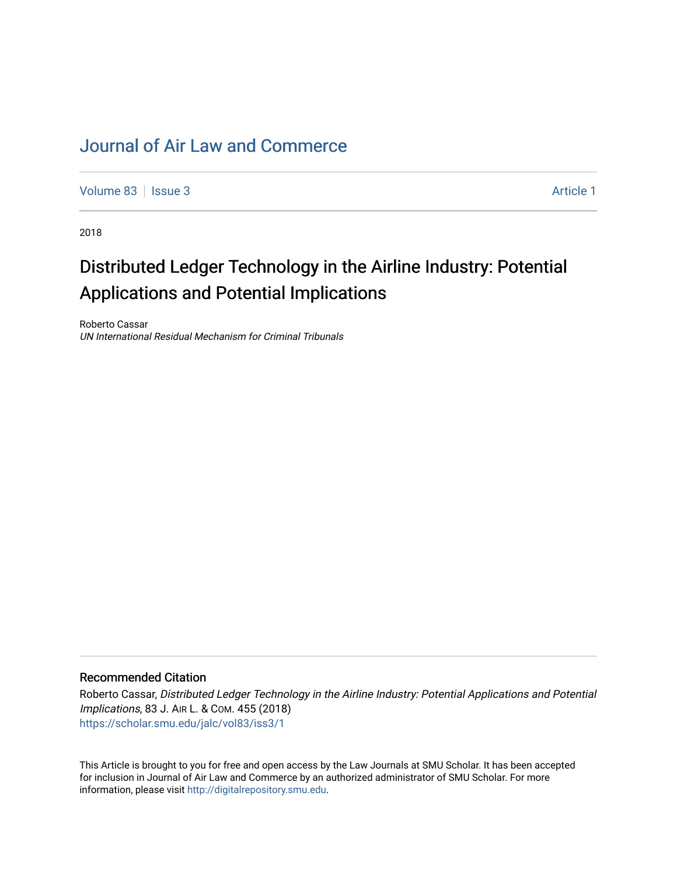# [Journal of Air Law and Commerce](https://scholar.smu.edu/jalc)

[Volume 83](https://scholar.smu.edu/jalc/vol83) | [Issue 3](https://scholar.smu.edu/jalc/vol83/iss3) Article 1

2018

# Distributed Ledger Technology in the Airline Industry: Potential Applications and Potential Implications

Roberto Cassar UN International Residual Mechanism for Criminal Tribunals

# Recommended Citation

Roberto Cassar, Distributed Ledger Technology in the Airline Industry: Potential Applications and Potential Implications, 83 J. AIR L. & COM. 455 (2018) [https://scholar.smu.edu/jalc/vol83/iss3/1](https://scholar.smu.edu/jalc/vol83/iss3/1?utm_source=scholar.smu.edu%2Fjalc%2Fvol83%2Fiss3%2F1&utm_medium=PDF&utm_campaign=PDFCoverPages) 

This Article is brought to you for free and open access by the Law Journals at SMU Scholar. It has been accepted for inclusion in Journal of Air Law and Commerce by an authorized administrator of SMU Scholar. For more information, please visit [http://digitalrepository.smu.edu](http://digitalrepository.smu.edu/).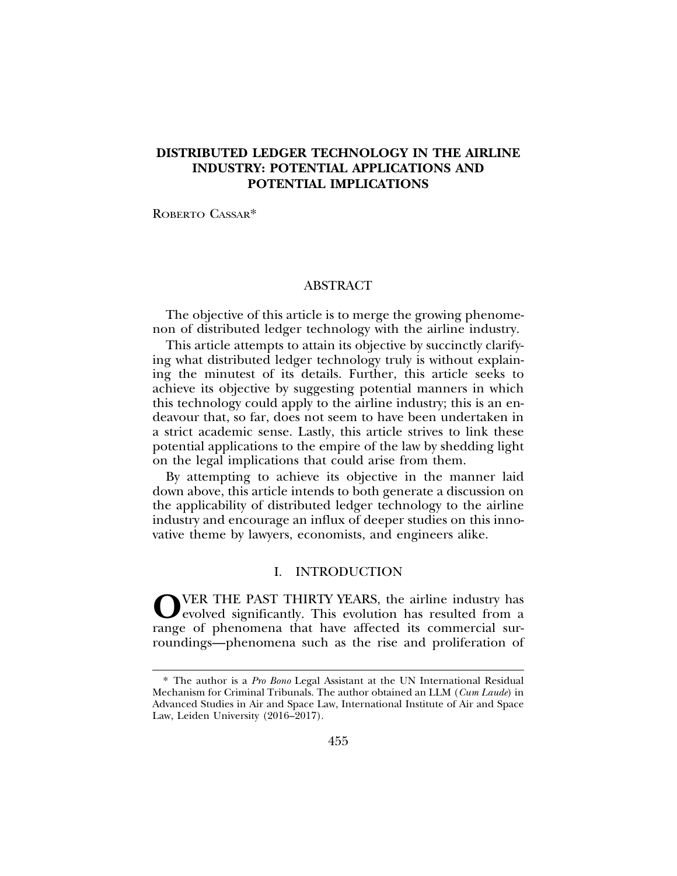# **DISTRIBUTED LEDGER TECHNOLOGY IN THE AIRLINE INDUSTRY: POTENTIAL APPLICATIONS AND POTENTIAL IMPLICATIONS**

ROBERTO CASSAR\*

#### ABSTRACT

The objective of this article is to merge the growing phenomenon of distributed ledger technology with the airline industry.

This article attempts to attain its objective by succinctly clarifying what distributed ledger technology truly is without explaining the minutest of its details. Further, this article seeks to achieve its objective by suggesting potential manners in which this technology could apply to the airline industry; this is an endeavour that, so far, does not seem to have been undertaken in a strict academic sense. Lastly, this article strives to link these potential applications to the empire of the law by shedding light on the legal implications that could arise from them.

By attempting to achieve its objective in the manner laid down above, this article intends to both generate a discussion on the applicability of distributed ledger technology to the airline industry and encourage an influx of deeper studies on this innovative theme by lawyers, economists, and engineers alike.

## I. INTRODUCTION

**O**VER THE PAST THIRTY YEARS, the airline industry has evolved significantly. This evolution has resulted from a range of phenomena that have affected its commercial surroundings—phenomena such as the rise and proliferation of

<sup>\*</sup> The author is a *Pro Bono* Legal Assistant at the UN International Residual Mechanism for Criminal Tribunals. The author obtained an LLM (*Cum Laude*) in Advanced Studies in Air and Space Law, International Institute of Air and Space Law, Leiden University (2016–2017).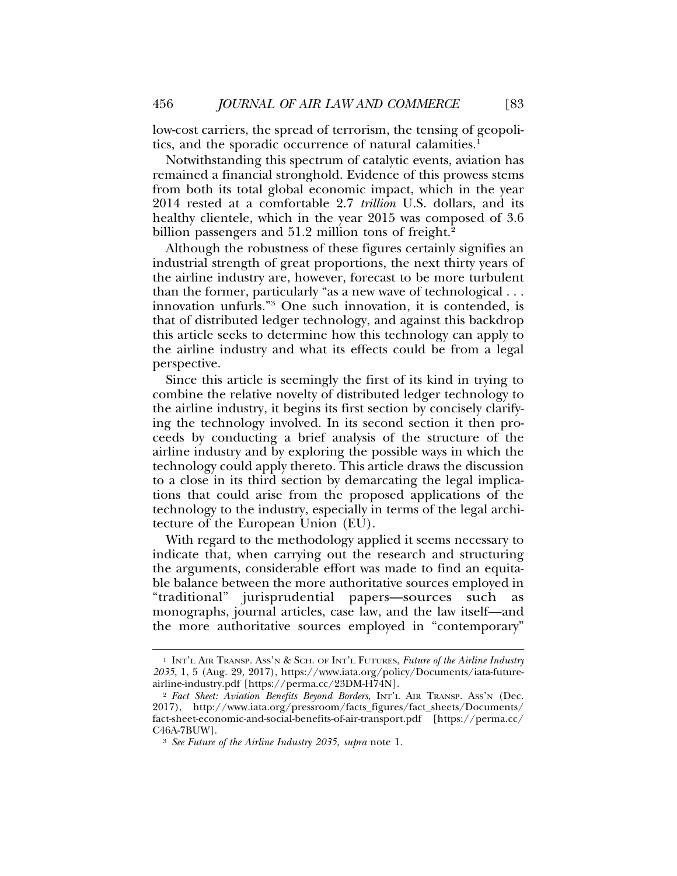low-cost carriers, the spread of terrorism, the tensing of geopolitics, and the sporadic occurrence of natural calamities.<sup>1</sup>

Notwithstanding this spectrum of catalytic events, aviation has remained a financial stronghold. Evidence of this prowess stems from both its total global economic impact, which in the year 2014 rested at a comfortable 2.7 *trillion* U.S. dollars, and its healthy clientele, which in the year 2015 was composed of 3.6 billion passengers and 51.2 million tons of freight.<sup>2</sup>

Although the robustness of these figures certainly signifies an industrial strength of great proportions, the next thirty years of the airline industry are, however, forecast to be more turbulent than the former, particularly "as a new wave of technological . . . innovation unfurls."3 One such innovation, it is contended, is that of distributed ledger technology, and against this backdrop this article seeks to determine how this technology can apply to the airline industry and what its effects could be from a legal perspective.

Since this article is seemingly the first of its kind in trying to combine the relative novelty of distributed ledger technology to the airline industry, it begins its first section by concisely clarifying the technology involved. In its second section it then proceeds by conducting a brief analysis of the structure of the airline industry and by exploring the possible ways in which the technology could apply thereto. This article draws the discussion to a close in its third section by demarcating the legal implications that could arise from the proposed applications of the technology to the industry, especially in terms of the legal architecture of the European Union (EU).

With regard to the methodology applied it seems necessary to indicate that, when carrying out the research and structuring the arguments, considerable effort was made to find an equitable balance between the more authoritative sources employed in "traditional" jurisprudential papers—sources such as monographs, journal articles, case law, and the law itself—and the more authoritative sources employed in "contemporary"

<sup>1</sup> INT'L AIR TRANSP. ASS'N & SCH. OF INT'L FUTURES, *Future of the Airline Industry 2035*, 1, 5 (Aug. 29, 2017), https://www.iata.org/policy/Documents/iata-futureairline-industry.pdf [https://perma.cc/23DM-H74N].

<sup>2</sup> *Fact Sheet: Aviation Benefits Beyond Borders*, INT'L AIR TRANSP. ASS'N (Dec. 2017), http://www.iata.org/pressroom/facts\_figures/fact\_sheets/Documents/ fact-sheet-economic-and-social-benefits-of-air-transport.pdf [https://perma.cc/ C46A-7BUW].

<sup>3</sup> *See Future of the Airline Industry 2035*, *supra* note 1.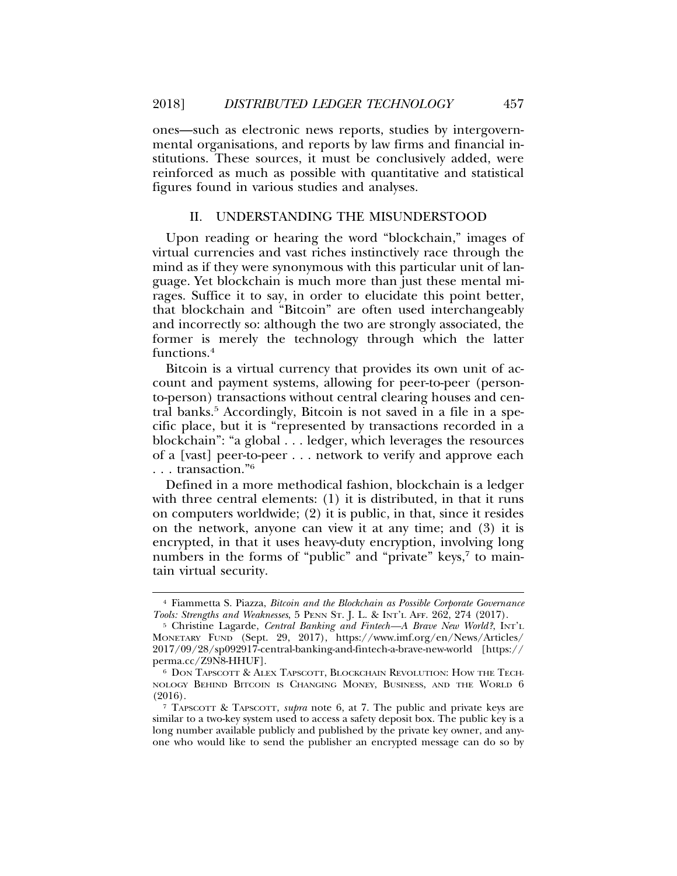ones—such as electronic news reports, studies by intergovernmental organisations, and reports by law firms and financial institutions. These sources, it must be conclusively added, were reinforced as much as possible with quantitative and statistical figures found in various studies and analyses.

#### II. UNDERSTANDING THE MISUNDERSTOOD

Upon reading or hearing the word "blockchain," images of virtual currencies and vast riches instinctively race through the mind as if they were synonymous with this particular unit of language. Yet blockchain is much more than just these mental mirages. Suffice it to say, in order to elucidate this point better, that blockchain and "Bitcoin" are often used interchangeably and incorrectly so: although the two are strongly associated, the former is merely the technology through which the latter functions.4

Bitcoin is a virtual currency that provides its own unit of account and payment systems, allowing for peer-to-peer (personto-person) transactions without central clearing houses and central banks.<sup>5</sup> Accordingly, Bitcoin is not saved in a file in a specific place, but it is "represented by transactions recorded in a blockchain": "a global . . . ledger, which leverages the resources of a [vast] peer-to-peer . . . network to verify and approve each . . . transaction."6

Defined in a more methodical fashion, blockchain is a ledger with three central elements: (1) it is distributed, in that it runs on computers worldwide; (2) it is public, in that, since it resides on the network, anyone can view it at any time; and (3) it is encrypted, in that it uses heavy-duty encryption, involving long numbers in the forms of "public" and "private" keys,<sup>7</sup> to maintain virtual security.

<sup>4</sup> Fiammetta S. Piazza, *Bitcoin and the Blockchain as Possible Corporate Governance Tools: Strengths and Weaknesses*, 5 PENN ST. J. L. & INT'L AFF. 262, 274 (2017).

<sup>&</sup>lt;sup>5</sup> Christine Lagarde, *Central Banking and Fintech*—A Brave New World?, INT'L MONETARY FUND (Sept. 29, 2017), https://www.imf.org/en/News/Articles/ 2017/09/28/sp092917-central-banking-and-fintech-a-brave-new-world [https:// perma.cc/Z9N8-HHUF].

<sup>6</sup> DON TAPSCOTT & ALEX TAPSCOTT, BLOCKCHAIN REVOLUTION: HOW THE TECH-NOLOGY BEHIND BITCOIN IS CHANGING MONEY, BUSINESS, AND THE WORLD 6 (2016).

<sup>7</sup> TAPSCOTT & TAPSCOTT, *supra* note 6, at 7. The public and private keys are similar to a two-key system used to access a safety deposit box. The public key is a long number available publicly and published by the private key owner, and anyone who would like to send the publisher an encrypted message can do so by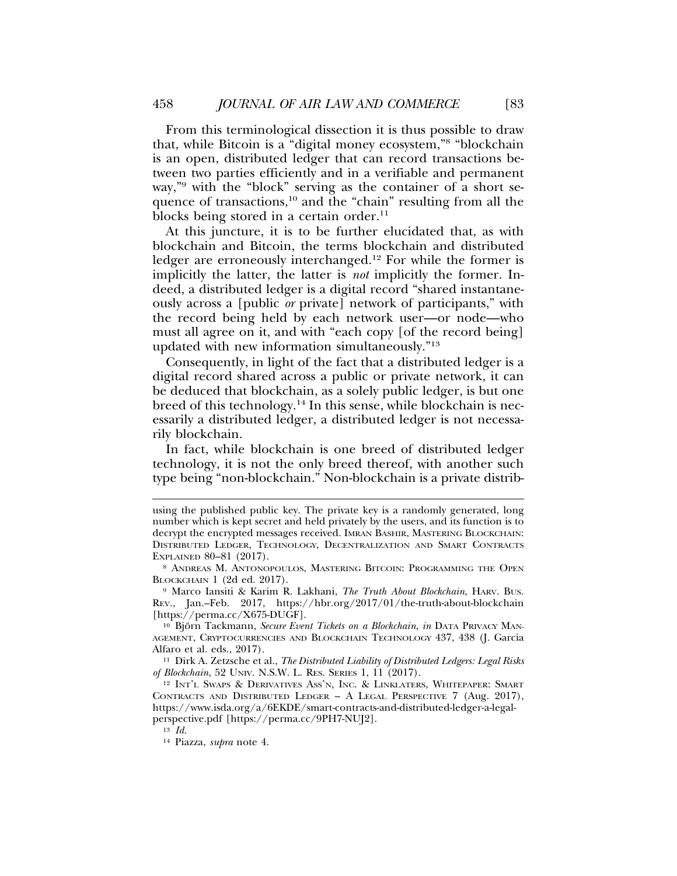From this terminological dissection it is thus possible to draw that, while Bitcoin is a "digital money ecosystem,"8 "blockchain is an open, distributed ledger that can record transactions between two parties efficiently and in a verifiable and permanent way,"9 with the "block" serving as the container of a short sequence of transactions,<sup>10</sup> and the "chain" resulting from all the blocks being stored in a certain order. $^{11}$ 

At this juncture, it is to be further elucidated that, as with blockchain and Bitcoin, the terms blockchain and distributed ledger are erroneously interchanged.<sup>12</sup> For while the former is implicitly the latter, the latter is *not* implicitly the former. Indeed, a distributed ledger is a digital record "shared instantaneously across a [public *or* private] network of participants," with the record being held by each network user—or node—who must all agree on it, and with "each copy [of the record being] updated with new information simultaneously."13

Consequently, in light of the fact that a distributed ledger is a digital record shared across a public or private network, it can be deduced that blockchain, as a solely public ledger, is but one breed of this technology.14 In this sense, while blockchain is necessarily a distributed ledger, a distributed ledger is not necessarily blockchain.

In fact, while blockchain is one breed of distributed ledger technology, it is not the only breed thereof, with another such type being "non-blockchain." Non-blockchain is a private distrib-

<sup>9</sup> Marco Iansiti & Karim R. Lakhani, *The Truth About Blockchain*, HARV. BUS. REV., Jan.–Feb. 2017, https://hbr.org/2017/01/the-truth-about-blockchain [https://perma.cc/X675-DUGF].

<sup>10</sup> Björn Tackmann, Secure Event Tickets on a Blockchain, in DATA PRIVACY MAN-AGEMENT, CRYPTOCURRENCIES AND BLOCKCHAIN TECHNOLOGY 437, 438 (J. Garcia Alfaro et al. eds., 2017).

<sup>11</sup> Dirk A. Zetzsche et al., *The Distributed Liability of Distributed Ledgers: Legal Risks of Blockchain*, 52 UNIV. N.S.W. L. RES. SERIES 1, 11 (2017).

<sup>12</sup> INT'L SWAPS & DERIVATIVES ASS'N, INC. & LINKLATERS, WHITEPAPER: SMART CONTRACTS AND DISTRIBUTED LEDGER – A LEGAL PERSPECTIVE 7 (Aug. 2017), https://www.isda.org/a/6EKDE/smart-contracts-and-distributed-ledger-a-legalperspective.pdf [https://perma.cc/9PH7-NUJ2].

<sup>13</sup> *Id.*

<sup>14</sup> Piazza, *supra* note 4.

using the published public key. The private key is a randomly generated, long number which is kept secret and held privately by the users, and its function is to decrypt the encrypted messages received. IMRAN BASHIR, MASTERING BLOCKCHAIN: DISTRIBUTED LEDGER, TECHNOLOGY, DECENTRALIZATION AND SMART CONTRACTS EXPLAINED 80–81 (2017).

<sup>8</sup> ANDREAS M. ANTONOPOULOS, MASTERING BITCOIN: PROGRAMMING THE OPEN BLOCKCHAIN 1 (2d ed. 2017).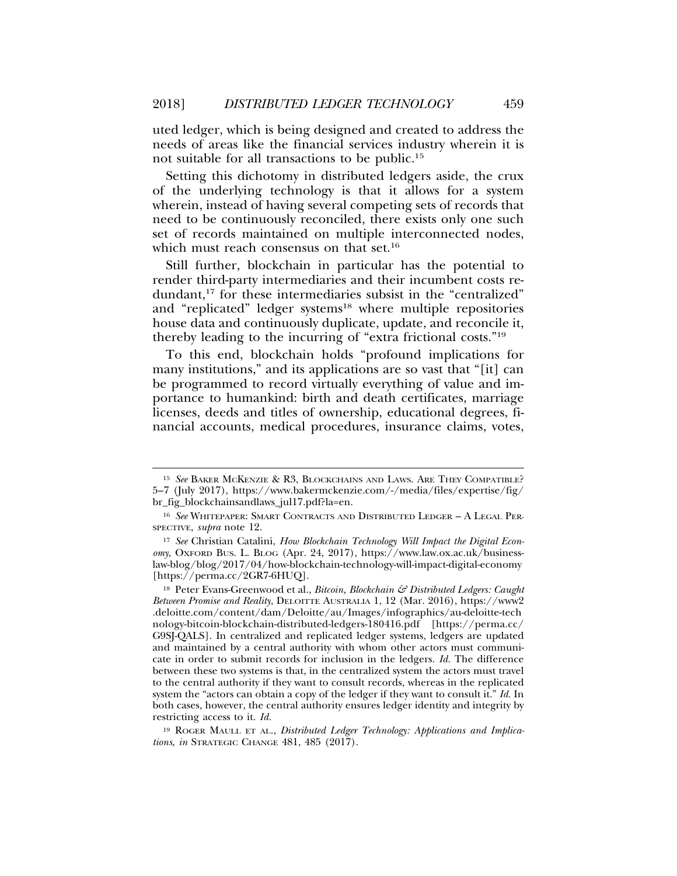uted ledger, which is being designed and created to address the needs of areas like the financial services industry wherein it is not suitable for all transactions to be public.15

Setting this dichotomy in distributed ledgers aside, the crux of the underlying technology is that it allows for a system wherein, instead of having several competing sets of records that need to be continuously reconciled, there exists only one such set of records maintained on multiple interconnected nodes, which must reach consensus on that set.<sup>16</sup>

Still further, blockchain in particular has the potential to render third-party intermediaries and their incumbent costs redundant,<sup>17</sup> for these intermediaries subsist in the "centralized" and "replicated" ledger systems<sup>18</sup> where multiple repositories house data and continuously duplicate, update, and reconcile it, thereby leading to the incurring of "extra frictional costs."19

To this end, blockchain holds "profound implications for many institutions," and its applications are so vast that "[it] can be programmed to record virtually everything of value and importance to humankind: birth and death certificates, marriage licenses, deeds and titles of ownership, educational degrees, financial accounts, medical procedures, insurance claims, votes,

<sup>15</sup> *See* BAKER MCKENZIE & R3, BLOCKCHAINS AND LAWS. ARE THEY COMPATIBLE? 5–7 (July 2017), https://www.bakermckenzie.com/-/media/files/expertise/fig/ br\_fig\_blockchainsandlaws\_jul17.pdf?la=en.

<sup>16</sup> *See* WHITEPAPER: SMART CONTRACTS AND DISTRIBUTED LEDGER – A LEGAL PER-SPECTIVE, *supra* note 12.

<sup>17</sup> *See* Christian Catalini, *How Blockchain Technology Will Impact the Digital Economy*, OXFORD BUS. L. BLOG (Apr. 24, 2017), https://www.law.ox.ac.uk/businesslaw-blog/blog/2017/04/how-blockchain-technology-will-impact-digital-economy [https://perma.cc/2GR7-6HUQ].

<sup>18</sup> Peter Evans-Greenwood et al., *Bitcoin, Blockchain & Distributed Ledgers: Caught Between Promise and Reality*, DELOITTE AUSTRALIA 1, 12 (Mar. 2016), https://www2 .deloitte.com/content/dam/Deloitte/au/Images/infographics/au-deloitte-tech nology-bitcoin-blockchain-distributed-ledgers-180416.pdf [https://perma.cc/ G9SJ-QALS]. In centralized and replicated ledger systems, ledgers are updated and maintained by a central authority with whom other actors must communicate in order to submit records for inclusion in the ledgers. *Id.* The difference between these two systems is that, in the centralized system the actors must travel to the central authority if they want to consult records, whereas in the replicated system the "actors can obtain a copy of the ledger if they want to consult it." *Id.* In both cases, however, the central authority ensures ledger identity and integrity by restricting access to it. *Id.*

<sup>&</sup>lt;sup>19</sup> ROGER MAULL ET AL., *Distributed Ledger Technology: Applications and Implications*, *in* STRATEGIC CHANGE 481, 485 (2017).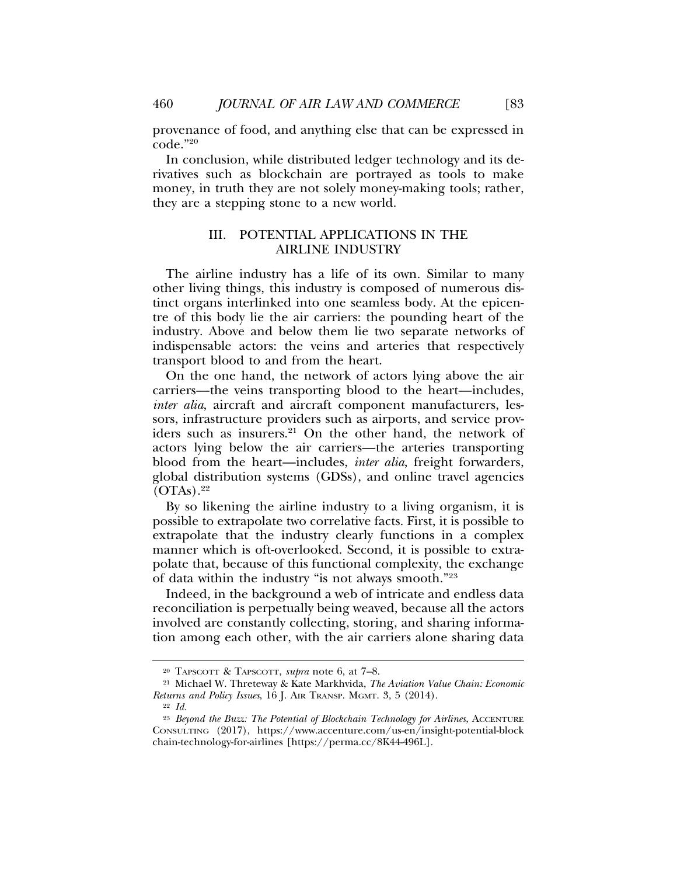provenance of food, and anything else that can be expressed in code."20

In conclusion, while distributed ledger technology and its derivatives such as blockchain are portrayed as tools to make money, in truth they are not solely money-making tools; rather, they are a stepping stone to a new world.

## III. POTENTIAL APPLICATIONS IN THE AIRLINE INDUSTRY

The airline industry has a life of its own. Similar to many other living things, this industry is composed of numerous distinct organs interlinked into one seamless body. At the epicentre of this body lie the air carriers: the pounding heart of the industry. Above and below them lie two separate networks of indispensable actors: the veins and arteries that respectively transport blood to and from the heart.

On the one hand, the network of actors lying above the air carriers—the veins transporting blood to the heart—includes, *inter alia*, aircraft and aircraft component manufacturers, lessors, infrastructure providers such as airports, and service providers such as insurers.<sup>21</sup> On the other hand, the network of actors lying below the air carriers—the arteries transporting blood from the heart—includes, *inter alia*, freight forwarders, global distribution systems (GDSs), and online travel agencies  $(OTAs).<sup>22</sup>$ 

By so likening the airline industry to a living organism, it is possible to extrapolate two correlative facts. First, it is possible to extrapolate that the industry clearly functions in a complex manner which is oft-overlooked. Second, it is possible to extrapolate that, because of this functional complexity, the exchange of data within the industry "is not always smooth."23

Indeed, in the background a web of intricate and endless data reconciliation is perpetually being weaved, because all the actors involved are constantly collecting, storing, and sharing information among each other, with the air carriers alone sharing data

<sup>20</sup> TAPSCOTT & TAPSCOTT, *supra* note 6, at 7–8.

<sup>21</sup> Michael W. Threteway & Kate Markhvida, *The Aviation Value Chain: Economic Returns and Policy Issues*, 16 J. AIR TRANSP. MGMT. 3, 5 (2014).

<sup>22</sup> *Id.*

<sup>&</sup>lt;sup>23</sup> *Beyond the Buzz: The Potential of Blockchain Technology for Airlines*, ACCENTURE CONSULTING (2017), https://www.accenture.com/us-en/insight-potential-block chain-technology-for-airlines [https://perma.cc/8K44-496L].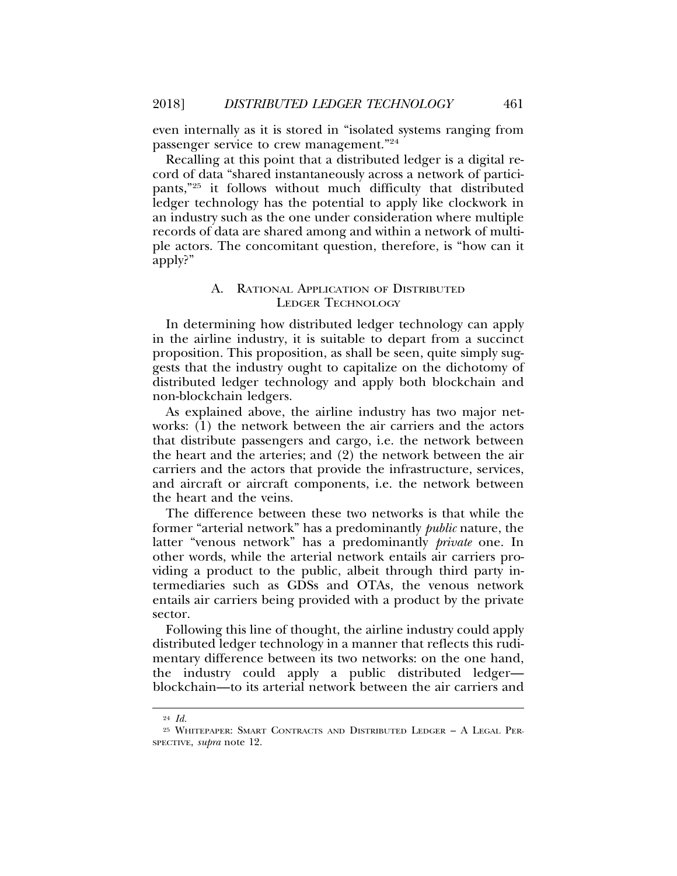even internally as it is stored in "isolated systems ranging from passenger service to crew management."24

Recalling at this point that a distributed ledger is a digital record of data "shared instantaneously across a network of participants,"25 it follows without much difficulty that distributed ledger technology has the potential to apply like clockwork in an industry such as the one under consideration where multiple records of data are shared among and within a network of multiple actors. The concomitant question, therefore, is "how can it apply?"

#### A. RATIONAL APPLICATION OF DISTRIBUTED LEDGER TECHNOLOGY

In determining how distributed ledger technology can apply in the airline industry, it is suitable to depart from a succinct proposition. This proposition, as shall be seen, quite simply suggests that the industry ought to capitalize on the dichotomy of distributed ledger technology and apply both blockchain and non-blockchain ledgers.

As explained above, the airline industry has two major networks: (1) the network between the air carriers and the actors that distribute passengers and cargo, i.e. the network between the heart and the arteries; and (2) the network between the air carriers and the actors that provide the infrastructure, services, and aircraft or aircraft components, i.e. the network between the heart and the veins.

The difference between these two networks is that while the former "arterial network" has a predominantly *public* nature, the latter "venous network" has a predominantly *private* one. In other words, while the arterial network entails air carriers providing a product to the public, albeit through third party intermediaries such as GDSs and OTAs, the venous network entails air carriers being provided with a product by the private sector.

Following this line of thought, the airline industry could apply distributed ledger technology in a manner that reflects this rudimentary difference between its two networks: on the one hand, the industry could apply a public distributed ledger blockchain—to its arterial network between the air carriers and

<sup>24</sup> *Id.*

<sup>25</sup> WHITEPAPER: SMART CONTRACTS AND DISTRIBUTED LEDGER – A LEGAL PER-SPECTIVE, *supra* note 12.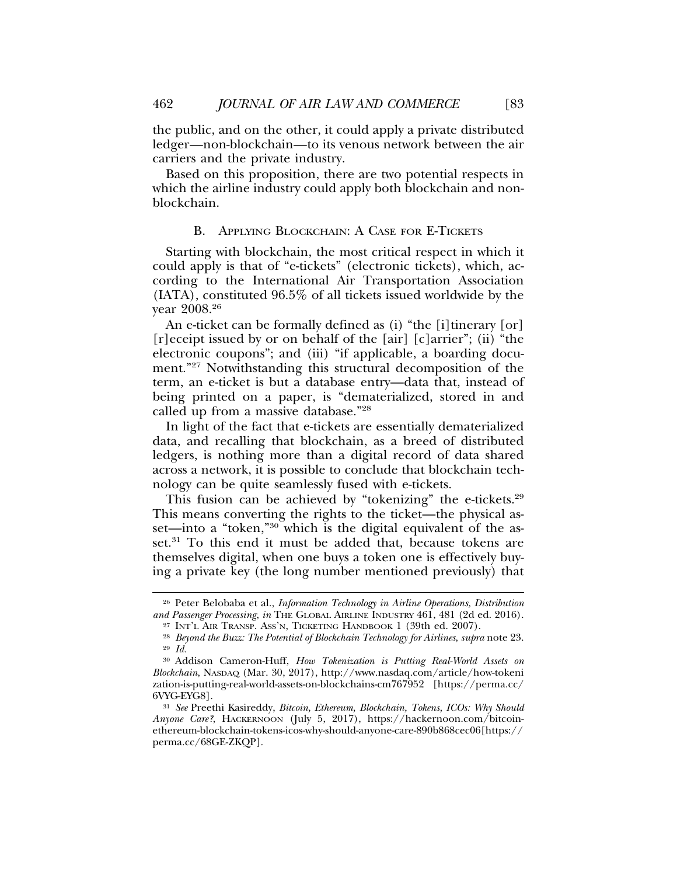the public, and on the other, it could apply a private distributed ledger—non-blockchain—to its venous network between the air carriers and the private industry.

Based on this proposition, there are two potential respects in which the airline industry could apply both blockchain and nonblockchain.

#### B. APPLYING BLOCKCHAIN: A CASE FOR E-TICKETS

Starting with blockchain, the most critical respect in which it could apply is that of "e-tickets" (electronic tickets), which, according to the International Air Transportation Association (IATA), constituted 96.5% of all tickets issued worldwide by the year 2008.26

An e-ticket can be formally defined as (i) "the [i] tinerary [or] [r]eceipt issued by or on behalf of the [air] [c]arrier"; (ii) "the electronic coupons"; and (iii) "if applicable, a boarding document."27 Notwithstanding this structural decomposition of the term, an e-ticket is but a database entry—data that, instead of being printed on a paper, is "dematerialized, stored in and called up from a massive database."28

In light of the fact that e-tickets are essentially dematerialized data, and recalling that blockchain, as a breed of distributed ledgers, is nothing more than a digital record of data shared across a network, it is possible to conclude that blockchain technology can be quite seamlessly fused with e-tickets.

This fusion can be achieved by "tokenizing" the e-tickets.<sup>29</sup> This means converting the rights to the ticket—the physical asset—into a "token,"<sup>30"</sup> which is the digital equivalent of the asset.<sup>31</sup> To this end it must be added that, because tokens are themselves digital, when one buys a token one is effectively buying a private key (the long number mentioned previously) that

<sup>26</sup> Peter Belobaba et al., *Information Technology in Airline Operations, Distribution and Passenger Processing*, *in* THE GLOBAL AIRLINE INDUSTRY 461, 481 (2d ed. 2016).

<sup>27</sup> INT'L AIR TRANSP. ASS'N, TICKETING HANDBOOK 1 (39th ed. 2007).

<sup>28</sup> *Beyond the Buzz: The Potential of Blockchain Technology for Airlines*, *supra* note 23. <sup>29</sup> *Id.*

<sup>30</sup> Addison Cameron-Huff, *How Tokenization is Putting Real-World Assets on Blockchain*, NASDAQ (Mar. 30, 2017), http://www.nasdaq.com/article/how-tokeni zation-is-putting-real-world-assets-on-blockchains-cm767952 [https://perma.cc/ 6VYG-EYG8].

<sup>31</sup> *See* Preethi Kasireddy, *Bitcoin, Ethereum, Blockchain, Tokens, ICOs: Why Should Anyone Care?*, HACKERNOON (July 5, 2017), https://hackernoon.com/bitcoinethereum-blockchain-tokens-icos-why-should-anyone-care-890b868cec06[https:// perma.cc/68GE-ZKQP].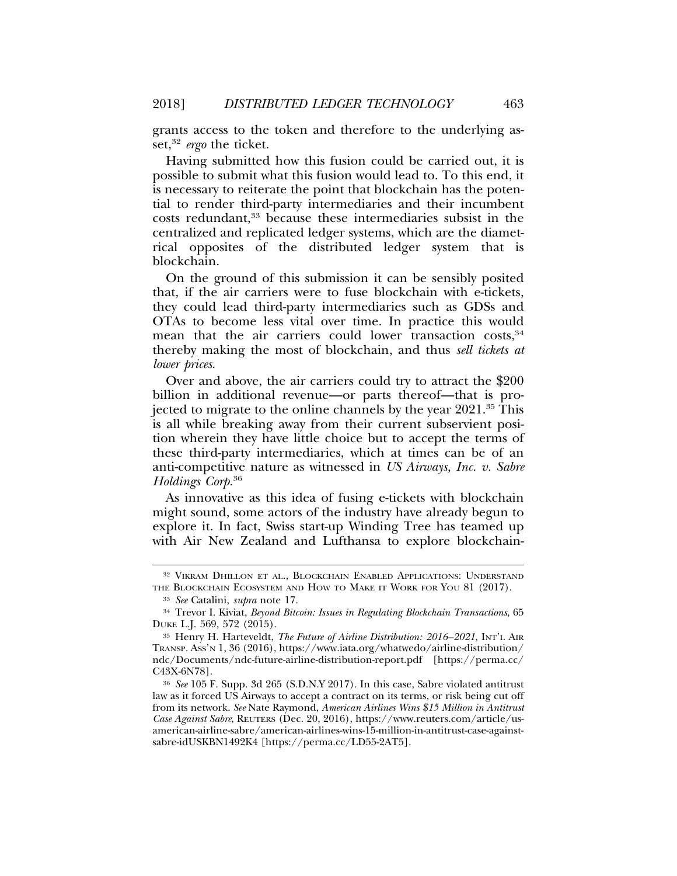grants access to the token and therefore to the underlying asset,32 *ergo* the ticket.

Having submitted how this fusion could be carried out, it is possible to submit what this fusion would lead to. To this end, it is necessary to reiterate the point that blockchain has the potential to render third-party intermediaries and their incumbent costs redundant,33 because these intermediaries subsist in the centralized and replicated ledger systems, which are the diametrical opposites of the distributed ledger system that is blockchain.

On the ground of this submission it can be sensibly posited that, if the air carriers were to fuse blockchain with e-tickets, they could lead third-party intermediaries such as GDSs and OTAs to become less vital over time. In practice this would mean that the air carriers could lower transaction costs,  $34$ thereby making the most of blockchain, and thus *sell tickets at lower prices*.

Over and above, the air carriers could try to attract the \$200 billion in additional revenue—or parts thereof—that is projected to migrate to the online channels by the year 2021.35 This is all while breaking away from their current subservient position wherein they have little choice but to accept the terms of these third-party intermediaries, which at times can be of an anti-competitive nature as witnessed in *US Airways, Inc. v. Sabre Holdings Corp.*<sup>36</sup>

As innovative as this idea of fusing e-tickets with blockchain might sound, some actors of the industry have already begun to explore it. In fact, Swiss start-up Winding Tree has teamed up with Air New Zealand and Lufthansa to explore blockchain-

<sup>32</sup> VIKRAM DHILLON ET AL., BLOCKCHAIN ENABLED APPLICATIONS: UNDERSTAND THE BLOCKCHAIN ECOSYSTEM AND HOW TO MAKE IT WORK FOR YOU 81 (2017).

<sup>33</sup> *See* Catalini, *supra* note 17.

<sup>34</sup> Trevor I. Kiviat, *Beyond Bitcoin: Issues in Regulating Blockchain Transactions*, 65 DUKE L.J. 569, 572 (2015).

<sup>35</sup> Henry H. Harteveldt, *The Future of Airline Distribution: 2016–2021*, INT'L AIR TRANSP. ASS'N 1, 36 (2016), https://www.iata.org/whatwedo/airline-distribution/ ndc/Documents/ndc-future-airline-distribution-report.pdf [https://perma.cc/ C43X-6N78].

<sup>36</sup> *See* 105 F. Supp. 3d 265 (S.D.N.Y 2017). In this case, Sabre violated antitrust law as it forced US Airways to accept a contract on its terms, or risk being cut off from its network. *See* Nate Raymond, *American Airlines Wins \$15 Million in Antitrust Case Against Sabre*, REUTERS (Dec. 20, 2016), https://www.reuters.com/article/usamerican-airline-sabre/american-airlines-wins-15-million-in-antitrust-case-againstsabre-idUSKBN1492K4 [https://perma.cc/LD55-2AT5].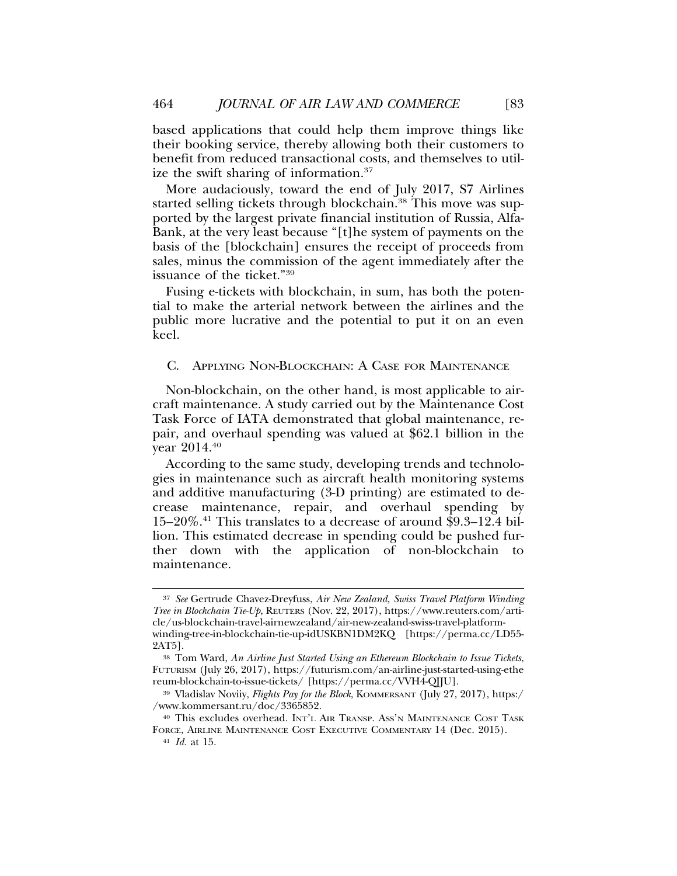based applications that could help them improve things like their booking service, thereby allowing both their customers to benefit from reduced transactional costs, and themselves to utilize the swift sharing of information.37

More audaciously, toward the end of July 2017, S7 Airlines started selling tickets through blockchain.<sup>38</sup> This move was supported by the largest private financial institution of Russia, Alfa-Bank, at the very least because "[t]he system of payments on the basis of the [blockchain] ensures the receipt of proceeds from sales, minus the commission of the agent immediately after the issuance of the ticket."39

Fusing e-tickets with blockchain, in sum, has both the potential to make the arterial network between the airlines and the public more lucrative and the potential to put it on an even keel.

#### C. APPLYING NON-BLOCKCHAIN: A CASE FOR MAINTENANCE

Non-blockchain, on the other hand, is most applicable to aircraft maintenance. A study carried out by the Maintenance Cost Task Force of IATA demonstrated that global maintenance, repair, and overhaul spending was valued at \$62.1 billion in the year 2014.40

According to the same study, developing trends and technologies in maintenance such as aircraft health monitoring systems and additive manufacturing (3-D printing) are estimated to decrease maintenance, repair, and overhaul spending by 15–20%.41 This translates to a decrease of around \$9.3–12.4 billion. This estimated decrease in spending could be pushed further down with the application of non-blockchain to maintenance.

<sup>37</sup> *See* Gertrude Chavez-Dreyfuss, *Air New Zealand, Swiss Travel Platform Winding Tree in Blockchain Tie-Up*, REUTERS (Nov. 22, 2017), https://www.reuters.com/article/us-blockchain-travel-airnewzealand/air-new-zealand-swiss-travel-platformwinding-tree-in-blockchain-tie-up-idUSKBN1DM2KQ [https://perma.cc/LD55- 2AT5].

<sup>38</sup> Tom Ward, *An Airline Just Started Using an Ethereum Blockchain to Issue Tickets*, FUTURISM (July 26, 2017), https://futurism.com/an-airline-just-started-using-ethe reum-blockchain-to-issue-tickets/ [https://perma.cc/VVH4-QJJU].

<sup>39</sup> Vladislav Noviiy, *Flights Pay for the Block*, KOMMERSANT (July 27, 2017), https:/ /www.kommersant.ru/doc/3365852.

<sup>40</sup> This excludes overhead. INT'L AIR TRANSP. ASS'N MAINTENANCE COST TASK FORCE, AIRLINE MAINTENANCE COST EXECUTIVE COMMENTARY 14 (Dec. 2015).

<sup>41</sup> *Id.* at 15.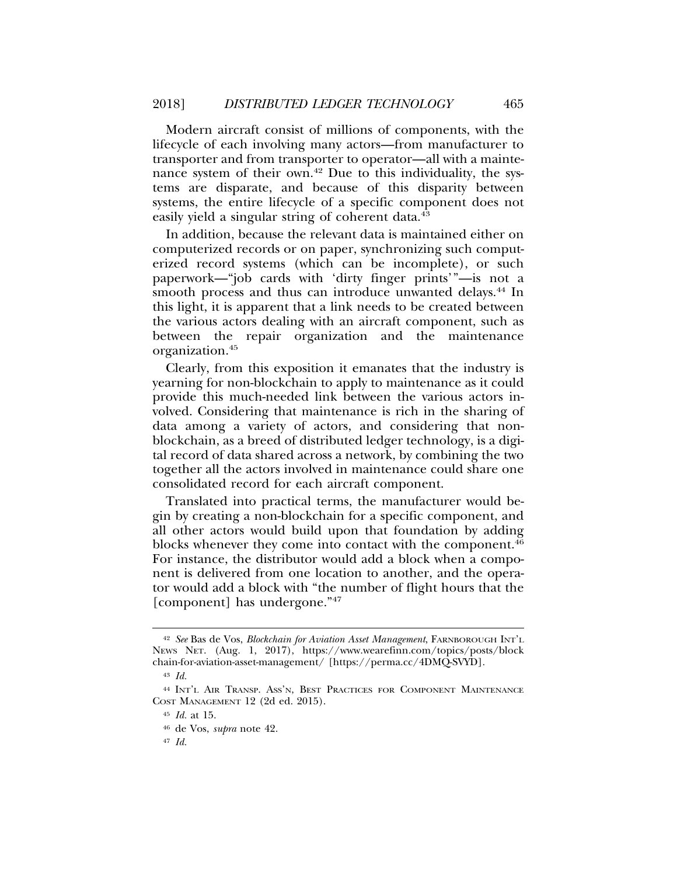Modern aircraft consist of millions of components, with the lifecycle of each involving many actors—from manufacturer to transporter and from transporter to operator—all with a maintenance system of their own.<sup>42</sup> Due to this individuality, the systems are disparate, and because of this disparity between systems, the entire lifecycle of a specific component does not easily yield a singular string of coherent data.<sup>43</sup>

In addition, because the relevant data is maintained either on computerized records or on paper, synchronizing such computerized record systems (which can be incomplete), or such paperwork—"job cards with 'dirty finger prints'"—is not a smooth process and thus can introduce unwanted delays.<sup>44</sup> In this light, it is apparent that a link needs to be created between the various actors dealing with an aircraft component, such as between the repair organization and the maintenance organization.45

Clearly, from this exposition it emanates that the industry is yearning for non-blockchain to apply to maintenance as it could provide this much-needed link between the various actors involved. Considering that maintenance is rich in the sharing of data among a variety of actors, and considering that nonblockchain, as a breed of distributed ledger technology, is a digital record of data shared across a network, by combining the two together all the actors involved in maintenance could share one consolidated record for each aircraft component.

Translated into practical terms, the manufacturer would begin by creating a non-blockchain for a specific component, and all other actors would build upon that foundation by adding blocks whenever they come into contact with the component.<sup>46</sup> For instance, the distributor would add a block when a component is delivered from one location to another, and the operator would add a block with "the number of flight hours that the [component] has undergone."47

<sup>42</sup> *See* Bas de Vos, *Blockchain for Aviation Asset Management*, FARNBOROUGH INT'L NEWS NET. (Aug. 1, 2017), https://www.wearefinn.com/topics/posts/block chain-for-aviation-asset-management/ [https://perma.cc/4DMQ-SVYD].

<sup>43</sup> *Id.*

<sup>44</sup> INT'L AIR TRANSP. ASS'N, BEST PRACTICES FOR COMPONENT MAINTENANCE COST MANAGEMENT 12 (2d ed. 2015).

<sup>45</sup> *Id.* at 15.

<sup>46</sup> de Vos, *supra* note 42.

<sup>47</sup> *Id.*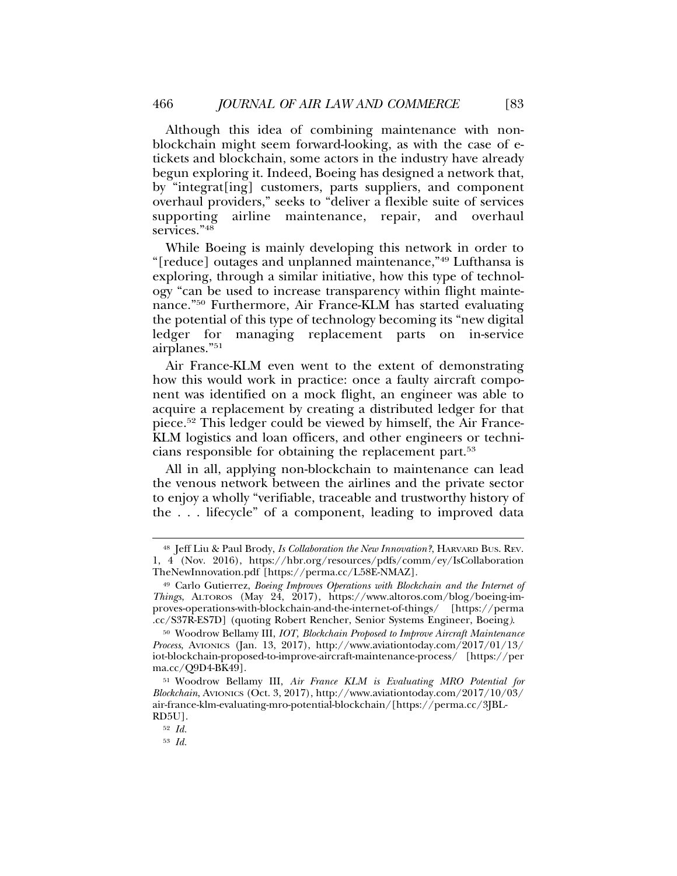Although this idea of combining maintenance with nonblockchain might seem forward-looking, as with the case of etickets and blockchain, some actors in the industry have already begun exploring it. Indeed, Boeing has designed a network that, by "integrat[ing] customers, parts suppliers, and component overhaul providers," seeks to "deliver a flexible suite of services supporting airline maintenance, repair, and overhaul services."48

While Boeing is mainly developing this network in order to "[reduce] outages and unplanned maintenance,"49 Lufthansa is exploring, through a similar initiative, how this type of technology "can be used to increase transparency within flight maintenance."50 Furthermore, Air France-KLM has started evaluating the potential of this type of technology becoming its "new digital ledger for managing replacement parts on in-service airplanes."51

Air France-KLM even went to the extent of demonstrating how this would work in practice: once a faulty aircraft component was identified on a mock flight, an engineer was able to acquire a replacement by creating a distributed ledger for that piece.52 This ledger could be viewed by himself, the Air France-KLM logistics and loan officers, and other engineers or technicians responsible for obtaining the replacement part.53

All in all, applying non-blockchain to maintenance can lead the venous network between the airlines and the private sector to enjoy a wholly "verifiable, traceable and trustworthy history of the . . . lifecycle" of a component, leading to improved data

<sup>48</sup> Jeff Liu & Paul Brody, *Is Collaboration the New Innovation?*, HARVARD BUS. REV. 1, 4 (Nov. 2016), https://hbr.org/resources/pdfs/comm/ey/IsCollaboration TheNewInnovation.pdf [https://perma.cc/L58E-NMAZ].

<sup>49</sup> Carlo Gutierrez, *Boeing Improves Operations with Blockchain and the Internet of Things*, ALTOROS (May 24, 2017), https://www.altoros.com/blog/boeing-improves-operations-with-blockchain-and-the-internet-of-things/ [https://perma .cc/S37R-ES7D] (quoting Robert Rencher, Senior Systems Engineer, Boeing*)*.

<sup>50</sup> Woodrow Bellamy III, *IOT, Blockchain Proposed to Improve Aircraft Maintenance Process*, AVIONICS (Jan. 13, 2017), http://www.aviationtoday.com/2017/01/13/ iot-blockchain-proposed-to-improve-aircraft-maintenance-process/ [https://per ma.cc/Q9D4-BK49].

<sup>51</sup> Woodrow Bellamy III, *Air France KLM is Evaluating MRO Potential for Blockchain*, AVIONICS (Oct. 3, 2017), http://www.aviationtoday.com/2017/10/03/ air-france-klm-evaluating-mro-potential-blockchain/[https://perma.cc/3JBL-RD5U].

<sup>52</sup> *Id.*

<sup>53</sup> *Id.*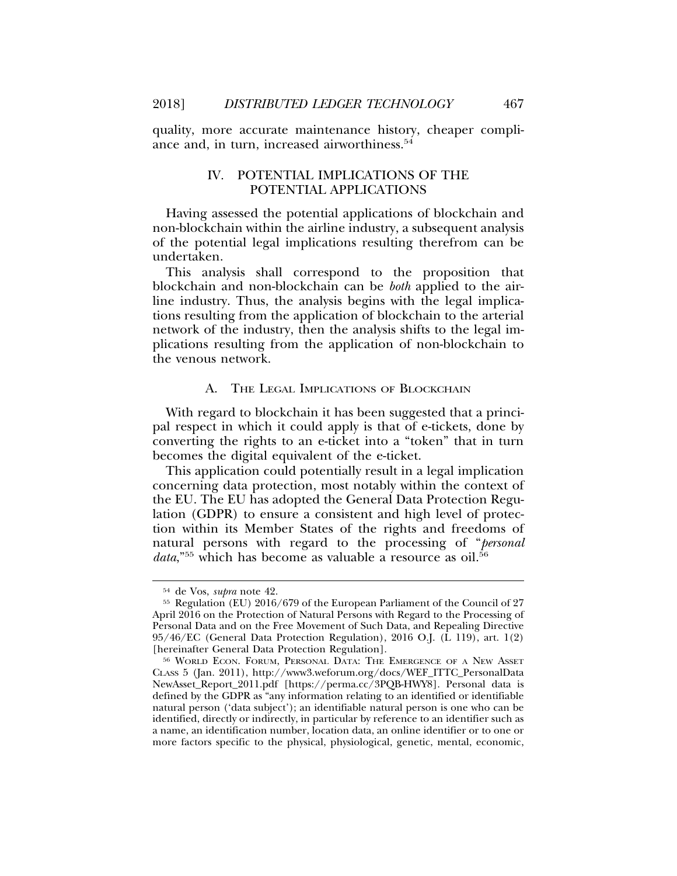quality, more accurate maintenance history, cheaper compliance and, in turn, increased airworthiness.<sup>54</sup>

# IV. POTENTIAL IMPLICATIONS OF THE POTENTIAL APPLICATIONS

Having assessed the potential applications of blockchain and non-blockchain within the airline industry, a subsequent analysis of the potential legal implications resulting therefrom can be undertaken.

This analysis shall correspond to the proposition that blockchain and non-blockchain can be *both* applied to the airline industry. Thus, the analysis begins with the legal implications resulting from the application of blockchain to the arterial network of the industry, then the analysis shifts to the legal implications resulting from the application of non-blockchain to the venous network.

#### A. THE LEGAL IMPLICATIONS OF BLOCKCHAIN

With regard to blockchain it has been suggested that a principal respect in which it could apply is that of e-tickets, done by converting the rights to an e-ticket into a "token" that in turn becomes the digital equivalent of the e-ticket.

This application could potentially result in a legal implication concerning data protection, most notably within the context of the EU. The EU has adopted the General Data Protection Regulation (GDPR) to ensure a consistent and high level of protection within its Member States of the rights and freedoms of natural persons with regard to the processing of "*personal* data,<sup>"55</sup> which has become as valuable a resource as oil.<sup>56</sup>

<sup>54</sup> de Vos, *supra* note 42.

<sup>55</sup> Regulation (EU) 2016/679 of the European Parliament of the Council of 27 April 2016 on the Protection of Natural Persons with Regard to the Processing of Personal Data and on the Free Movement of Such Data, and Repealing Directive 95/46/EC (General Data Protection Regulation), 2016 O.J. (L 119), art. 1(2) [hereinafter General Data Protection Regulation].

<sup>56</sup> WORLD ECON. FORUM, PERSONAL DATA: THE EMERGENCE OF A NEW ASSET CLASS 5 (Jan. 2011), http://www3.weforum.org/docs/WEF\_ITTC\_PersonalData NewAsset\_Report\_2011.pdf [https://perma.cc/3PQB-HWY8]. Personal data is defined by the GDPR as "any information relating to an identified or identifiable natural person ('data subject'); an identifiable natural person is one who can be identified, directly or indirectly, in particular by reference to an identifier such as a name, an identification number, location data, an online identifier or to one or more factors specific to the physical, physiological, genetic, mental, economic,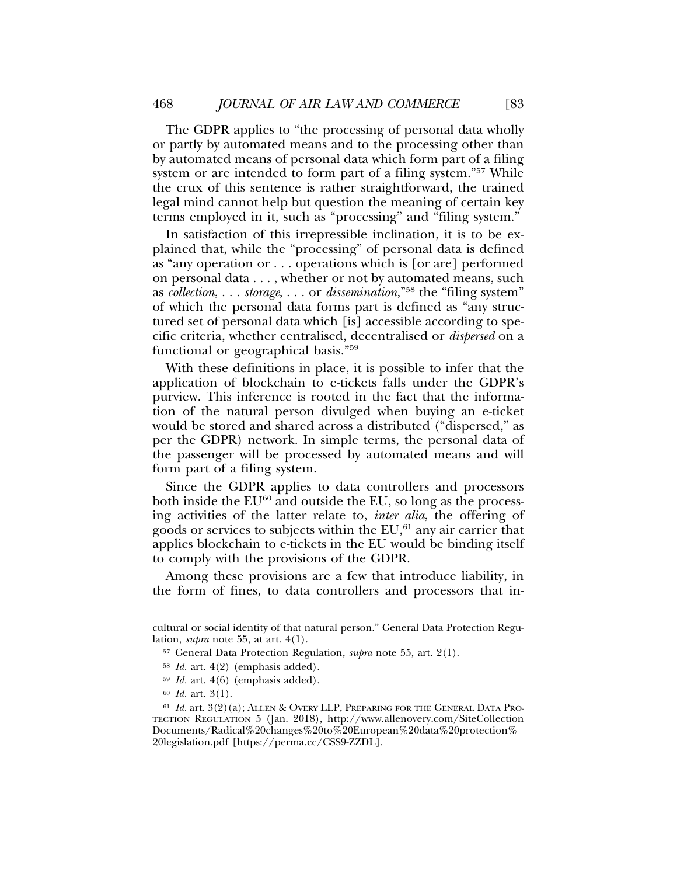The GDPR applies to "the processing of personal data wholly or partly by automated means and to the processing other than by automated means of personal data which form part of a filing system or are intended to form part of a filing system."<sup>57</sup> While the crux of this sentence is rather straightforward, the trained legal mind cannot help but question the meaning of certain key terms employed in it, such as "processing" and "filing system."

In satisfaction of this irrepressible inclination, it is to be explained that, while the "processing" of personal data is defined as "any operation or . . . operations which is [or are] performed on personal data . . . , whether or not by automated means, such as *collection*, . . . *storage*, . . . or *dissemination*,"58 the "filing system" of which the personal data forms part is defined as "any structured set of personal data which [is] accessible according to specific criteria, whether centralised, decentralised or *dispersed* on a functional or geographical basis."59

With these definitions in place, it is possible to infer that the application of blockchain to e-tickets falls under the GDPR's purview. This inference is rooted in the fact that the information of the natural person divulged when buying an e-ticket would be stored and shared across a distributed ("dispersed," as per the GDPR) network. In simple terms, the personal data of the passenger will be processed by automated means and will form part of a filing system.

Since the GDPR applies to data controllers and processors both inside the  $EU^{60}$  and outside the EU, so long as the processing activities of the latter relate to, *inter alia*, the offering of goods or services to subjects within the  $EU<sub>61</sub>$  any air carrier that applies blockchain to e-tickets in the EU would be binding itself to comply with the provisions of the GDPR.

Among these provisions are a few that introduce liability, in the form of fines, to data controllers and processors that in-

cultural or social identity of that natural person." General Data Protection Regulation, *supra* note 55, at art. 4(1).

<sup>57</sup> General Data Protection Regulation, *supra* note 55, art. 2(1).

<sup>58</sup> *Id.* art. 4(2) (emphasis added).

<sup>59</sup> *Id.* art. 4(6) (emphasis added).

<sup>60</sup> *Id.* art. 3(1).

<sup>61</sup> *Id.* art. 3(2)(a); ALLEN & OVERY LLP, PREPARING FOR THE GENERAL DATA PRO-TECTION REGULATION 5 (Jan. 2018), http://www.allenovery.com/SiteCollection Documents/Radical%20changes%20to%20European%20data%20protection% 20legislation.pdf [https://perma.cc/CSS9-ZZDL].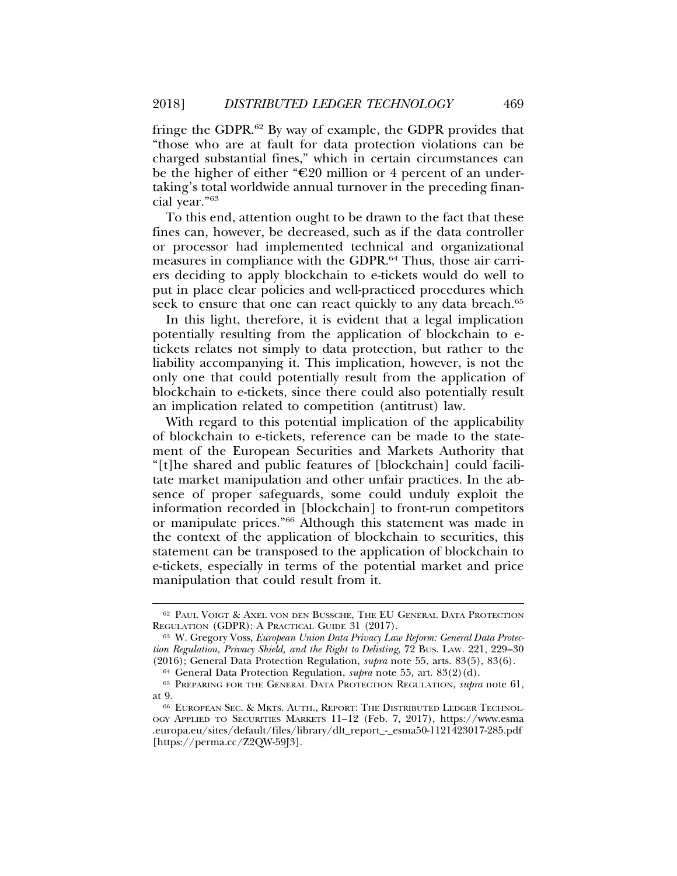fringe the GDPR.62 By way of example, the GDPR provides that "those who are at fault for data protection violations can be charged substantial fines," which in certain circumstances can be the higher of either " $\epsilon$ 20 million or 4 percent of an undertaking's total worldwide annual turnover in the preceding financial year."63

To this end, attention ought to be drawn to the fact that these fines can, however, be decreased, such as if the data controller or processor had implemented technical and organizational measures in compliance with the GDPR.<sup>64</sup> Thus, those air carriers deciding to apply blockchain to e-tickets would do well to put in place clear policies and well-practiced procedures which seek to ensure that one can react quickly to any data breach.<sup>65</sup>

In this light, therefore, it is evident that a legal implication potentially resulting from the application of blockchain to etickets relates not simply to data protection, but rather to the liability accompanying it. This implication, however, is not the only one that could potentially result from the application of blockchain to e-tickets, since there could also potentially result an implication related to competition (antitrust) law.

With regard to this potential implication of the applicability of blockchain to e-tickets, reference can be made to the statement of the European Securities and Markets Authority that "[t]he shared and public features of [blockchain] could facilitate market manipulation and other unfair practices. In the absence of proper safeguards, some could unduly exploit the information recorded in [blockchain] to front-run competitors or manipulate prices."66 Although this statement was made in the context of the application of blockchain to securities, this statement can be transposed to the application of blockchain to e-tickets, especially in terms of the potential market and price manipulation that could result from it.

<sup>62</sup> PAUL VOIGT & AXEL VON DEN BUSSCHE, THE EU GENERAL DATA PROTECTION REGULATION (GDPR): A PRACTICAL GUIDE 31 (2017).

<sup>63</sup> W. Gregory Voss, *European Union Data Privacy Law Reform: General Data Protection Regulation, Privacy Shield, and the Right to Delisting*, 72 BUS. LAW. 221, 229–30 (2016); General Data Protection Regulation, *supra* note 55, arts. 83(5), 83(6).

<sup>64</sup> General Data Protection Regulation, *supra* note 55, art. 83(2)(d).

<sup>65</sup> PREPARING FOR THE GENERAL DATA PROTECTION REGULATION, *supra* note 61, at 9.

<sup>66</sup> EUROPEAN SEC. & MKTS. AUTH., REPORT: THE DISTRIBUTED LEDGER TECHNOL-OGY APPLIED TO SECURITIES MARKETS 11–12 (Feb. 7, 2017), https://www.esma .europa.eu/sites/default/files/library/dlt\_report\_-\_esma50-1121423017-285.pdf [https://perma.cc/Z2QW-59J3].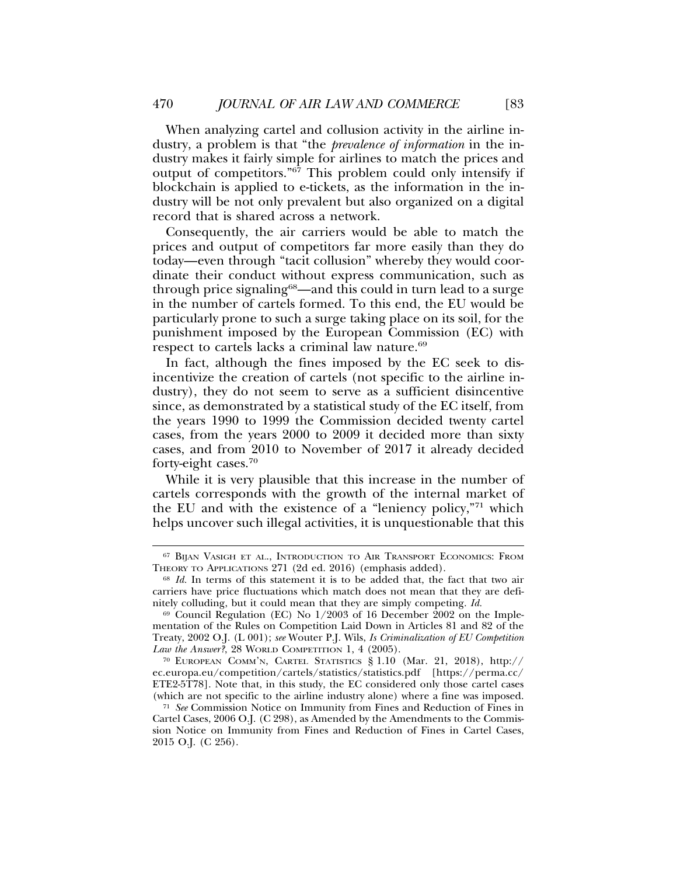When analyzing cartel and collusion activity in the airline industry, a problem is that "the *prevalence of information* in the industry makes it fairly simple for airlines to match the prices and output of competitors."67 This problem could only intensify if blockchain is applied to e-tickets, as the information in the industry will be not only prevalent but also organized on a digital record that is shared across a network.

Consequently, the air carriers would be able to match the prices and output of competitors far more easily than they do today—even through "tacit collusion" whereby they would coordinate their conduct without express communication, such as through price signaling68—and this could in turn lead to a surge in the number of cartels formed. To this end, the EU would be particularly prone to such a surge taking place on its soil, for the punishment imposed by the European Commission (EC) with respect to cartels lacks a criminal law nature.<sup>69</sup>

In fact, although the fines imposed by the EC seek to disincentivize the creation of cartels (not specific to the airline industry), they do not seem to serve as a sufficient disincentive since, as demonstrated by a statistical study of the EC itself, from the years 1990 to 1999 the Commission decided twenty cartel cases, from the years 2000 to 2009 it decided more than sixty cases, and from 2010 to November of 2017 it already decided forty-eight cases.70

While it is very plausible that this increase in the number of cartels corresponds with the growth of the internal market of the EU and with the existence of a "leniency policy,"71 which helps uncover such illegal activities, it is unquestionable that this

<sup>&</sup>lt;sup>67</sup> BIJAN VASIGH ET AL., INTRODUCTION TO AIR TRANSPORT ECONOMICS: FROM THEORY TO APPLICATIONS 271 (2d ed. 2016) (emphasis added).

<sup>68</sup> *Id.* In terms of this statement it is to be added that, the fact that two air carriers have price fluctuations which match does not mean that they are definitely colluding, but it could mean that they are simply competing. *Id.*

 $69$  Council Regulation (EC) No  $1/2003$  of 16 December 2002 on the Implementation of the Rules on Competition Laid Down in Articles 81 and 82 of the Treaty, 2002 O.J. (L 001); *see* Wouter P.J. Wils, *Is Criminalization of EU Competition Law the Answer?*, 28 WORLD COMPETITION 1, 4 (2005).

<sup>70</sup> EUROPEAN COMM'N, CARTEL STATISTICS § 1.10 (Mar. 21, 2018), http:// ec.europa.eu/competition/cartels/statistics/statistics.pdf [https://perma.cc/ ETE2-5T78]. Note that, in this study, the EC considered only those cartel cases (which are not specific to the airline industry alone) where a fine was imposed.

<sup>71</sup> *See* Commission Notice on Immunity from Fines and Reduction of Fines in Cartel Cases, 2006 O.J. (C 298), as Amended by the Amendments to the Commission Notice on Immunity from Fines and Reduction of Fines in Cartel Cases, 2015 O.J. (C 256).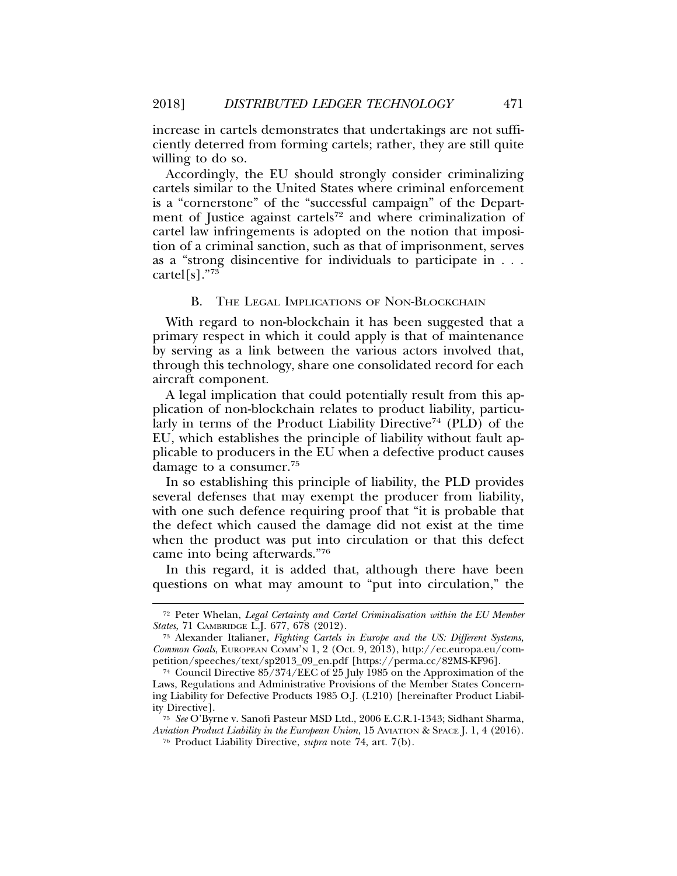increase in cartels demonstrates that undertakings are not sufficiently deterred from forming cartels; rather, they are still quite willing to do so.

Accordingly, the EU should strongly consider criminalizing cartels similar to the United States where criminal enforcement is a "cornerstone" of the "successful campaign" of the Department of Justice against cartels<sup>72</sup> and where criminalization of cartel law infringements is adopted on the notion that imposition of a criminal sanction, such as that of imprisonment, serves as a "strong disincentive for individuals to participate in . . . cartel[s]."73

#### B. THE LEGAL IMPLICATIONS OF NON-BLOCKCHAIN

With regard to non-blockchain it has been suggested that a primary respect in which it could apply is that of maintenance by serving as a link between the various actors involved that, through this technology, share one consolidated record for each aircraft component.

A legal implication that could potentially result from this application of non-blockchain relates to product liability, particularly in terms of the Product Liability Directive<sup>74</sup> (PLD) of the EU, which establishes the principle of liability without fault applicable to producers in the EU when a defective product causes damage to a consumer.75

In so establishing this principle of liability, the PLD provides several defenses that may exempt the producer from liability, with one such defence requiring proof that "it is probable that the defect which caused the damage did not exist at the time when the product was put into circulation or that this defect came into being afterwards."76

In this regard, it is added that, although there have been questions on what may amount to "put into circulation," the

<sup>72</sup> Peter Whelan, *Legal Certainty and Cartel Criminalisation within the EU Member States*, 71 CAMBRIDGE L.J. 677, 678 (2012).

<sup>73</sup> Alexander Italianer, *Fighting Cartels in Europe and the US: Different Systems, Common Goals*, EUROPEAN COMM'N 1, 2 (Oct. 9, 2013), http://ec.europa.eu/competition/speeches/text/sp2013\_09\_en.pdf [https://perma.cc/82MS-KF96].

<sup>74</sup> Council Directive 85/374/EEC of 25 July 1985 on the Approximation of the Laws, Regulations and Administrative Provisions of the Member States Concerning Liability for Defective Products 1985 O.J. (L210) [hereinafter Product Liability Directive].

<sup>75</sup> *See* O'Byrne v. Sanofi Pasteur MSD Ltd., 2006 E.C.R.1-1343; Sidhant Sharma, *Aviation Product Liability in the European Union*, 15 AVIATION & SPACE J. 1, 4 (2016).

<sup>76</sup> Product Liability Directive, *supra* note 74, art. 7(b).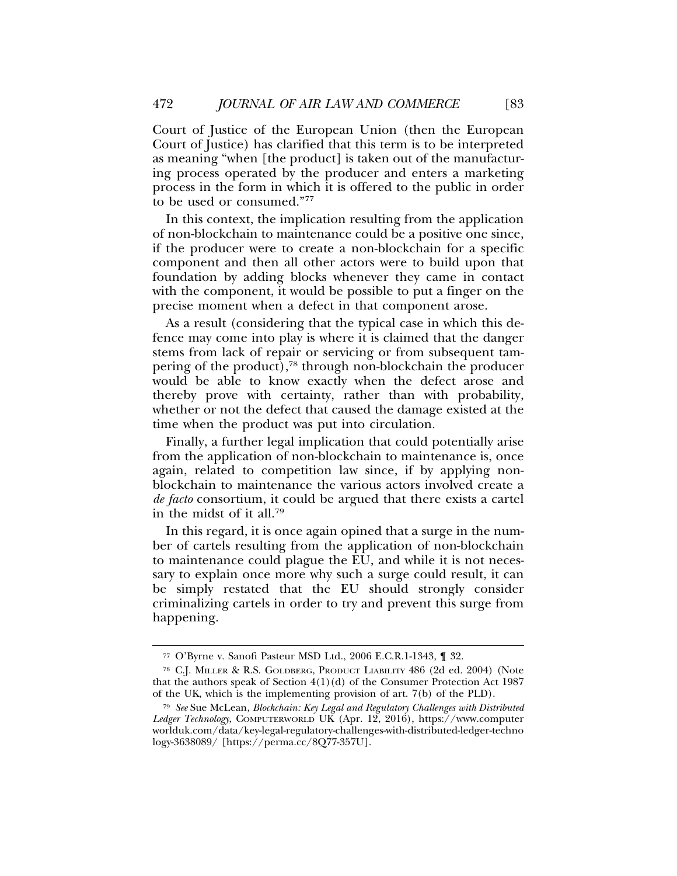Court of Justice of the European Union (then the European Court of Justice) has clarified that this term is to be interpreted as meaning "when [the product] is taken out of the manufacturing process operated by the producer and enters a marketing process in the form in which it is offered to the public in order to be used or consumed."77

In this context, the implication resulting from the application of non-blockchain to maintenance could be a positive one since, if the producer were to create a non-blockchain for a specific component and then all other actors were to build upon that foundation by adding blocks whenever they came in contact with the component, it would be possible to put a finger on the precise moment when a defect in that component arose.

As a result (considering that the typical case in which this defence may come into play is where it is claimed that the danger stems from lack of repair or servicing or from subsequent tampering of the product),78 through non-blockchain the producer would be able to know exactly when the defect arose and thereby prove with certainty, rather than with probability, whether or not the defect that caused the damage existed at the time when the product was put into circulation.

Finally, a further legal implication that could potentially arise from the application of non-blockchain to maintenance is, once again, related to competition law since, if by applying nonblockchain to maintenance the various actors involved create a *de facto* consortium, it could be argued that there exists a cartel in the midst of it all.79

In this regard, it is once again opined that a surge in the number of cartels resulting from the application of non-blockchain to maintenance could plague the EU, and while it is not necessary to explain once more why such a surge could result, it can be simply restated that the EU should strongly consider criminalizing cartels in order to try and prevent this surge from happening.

<sup>77</sup> O'Byrne v. Sanofi Pasteur MSD Ltd., 2006 E.C.R.1-1343, ¶ 32.

<sup>78</sup> C.J. MILLER & R.S. GOLDBERG, PRODUCT LIABILITY 486 (2d ed. 2004) (Note that the authors speak of Section  $4(1)(d)$  of the Consumer Protection Act 1987 of the UK, which is the implementing provision of art. 7(b) of the PLD).

<sup>79</sup> *See* Sue McLean, *Blockchain: Key Legal and Regulatory Challenges with Distributed Ledger Technology*, COMPUTERWORLD UK (Apr. 12, 2016), https://www.computer worlduk.com/data/key-legal-regulatory-challenges-with-distributed-ledger-techno logy-3638089/ [https://perma.cc/8Q77-357U].